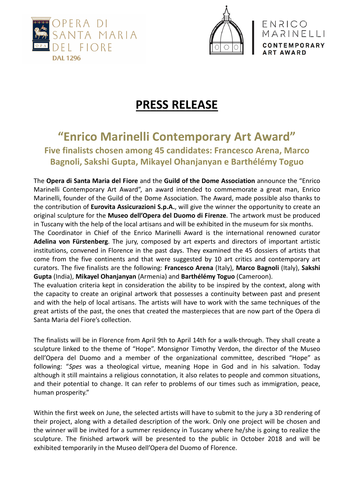



ENRICO

MARINELLI

**PRESS RELEASE** 

# **"Enrico Marinelli Contemporary Art Award"**

**Five finalists chosen among 45 candidates: Francesco Arena, Marco Bagnoli, Sakshi Gupta, Mikayel Ohanjanyan e Barthélémy Toguo**

The **Opera di Santa Maria del Fiore** and the **Guild of the Dome Association** announce the "Enrico Marinelli Contemporary Art Award", an award intended to commemorate a great man, Enrico Marinelli, founder of the Guild of the Dome Association. The Award, made possible also thanks to the contribution of **Eurovita Assicurazioni S.p.A.**, will give the winner the opportunity to create an original sculpture for the **Museo dell'Opera del Duomo di Firenze**. The artwork must be produced in Tuscany with the help of the local artisans and will be exhibited in the museum for six months.

The Coordinator in Chief of the Enrico Marinelli Award is the international renowned curator **Adelina von Fürstenberg**. The jury, composed by art experts and directors of important artistic institutions, convened in Florence in the past days. They examined the 45 dossiers of artists that come from the five continents and that were suggested by 10 art critics and contemporary art curators. The five finalists are the following: **Francesco Arena** (Italy), **Marco Bagnoli** (Italy), **Sakshi Gupta** (India), **Mikayel Ohanjanyan** (Armenia) and **Barthélémy Toguo** (Cameroon).

The evaluation criteria kept in consideration the ability to be inspired by the context, along with the capacity to create an original artwork that possesses a continuity between past and present and with the help of local artisans. The artists will have to work with the same techniques of the great artists of the past, the ones that created the masterpieces that are now part of the Opera di Santa Maria del Fiore's collection.

The finalists will be in Florence from April 9th to April 14th for a walk-through. They shall create a sculpture linked to the theme of "Hope". Monsignor Timothy Verdon, the director of the Museo dell'Opera del Duomo and a member of the organizational committee, described "Hope" as following: "*Spes* was a theological virtue, meaning Hope in God and in his salvation. Today although it still maintains a religious connotation, it also relates to people and common situations, and their potential to change. It can refer to problems of our times such as immigration, peace, human prosperity."

Within the first week on June, the selected artists will have to submit to the jury a 3D rendering of their project, along with a detailed description of the work. Only one project will be chosen and the winner will be invited for a summer residency in Tuscany where he/she is going to realize the sculpture. The finished artwork will be presented to the public in October 2018 and will be exhibited temporarily in the Museo dell'Opera del Duomo of Florence.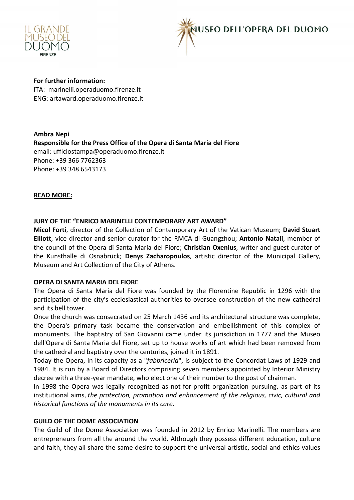



**For further information:**  ITA: marinelli.operaduomo.firenze.it ENG: artaward.operaduomo.firenze.it

**Ambra Nepi Responsible for the Press Office of the Opera di Santa Maria del Fiore**  email: ufficiostampa@operaduomo.firenze.it Phone: +39 366 7762363 Phone: +39 348 6543173

# **READ MORE:**

# **JURY OF THE "ENRICO MARINELLI CONTEMPORARY ART AWARD"**

**Micol Forti**, director of the Collection of Contemporary Art of the Vatican Museum; **David Stuart Elliott**, vice director and senior curator for the RMCA di Guangzhou; **Antonio Natali**, member of the council of the Opera di Santa Maria del Fiore; **Christian Oxenius**, writer and guest curator of the Kunsthalle di Osnabrück; **Denys Zacharopoulos**, artistic director of the Municipal Gallery, Museum and Art Collection of the City of Athens.

#### **OPERA DI SANTA MARIA DEL FIORE**

The Opera di Santa Maria del Fiore was founded by the Florentine Republic in 1296 with the participation of the city's ecclesiastical authorities to oversee construction of the new cathedral and its bell tower.

Once the church was consecrated on 25 March 1436 and its architectural structure was complete, the Opera's primary task became the conservation and embellishment of this complex of monuments. The baptistry of San Giovanni came under its jurisdiction in 1777 and the Museo dell'Opera di Santa Maria del Fiore, set up to house works of art which had been removed from the cathedral and baptistry over the centuries, joined it in 1891.

Today the Opera, in its capacity as a "*fabbriceria*", is subject to the Concordat Laws of 1929 and 1984. It is run by a Board of Directors comprising seven members appointed by Interior Ministry decree with a three-year mandate, who elect one of their number to the post of chairman.

In 1998 the Opera was legally recognized as not-for-profit organization pursuing, as part of its institutional aims, *the protection, promotion and enhancement of the religious, civic, cultural and historical functions of the monuments in its care*.

#### **GUILD OF THE DOME ASSOCIATION**

The Guild of the Dome Association was founded in 2012 by Enrico Marinelli. The members are entrepreneurs from all the around the world. Although they possess different education, culture and faith, they all share the same desire to support the universal artistic, social and ethics values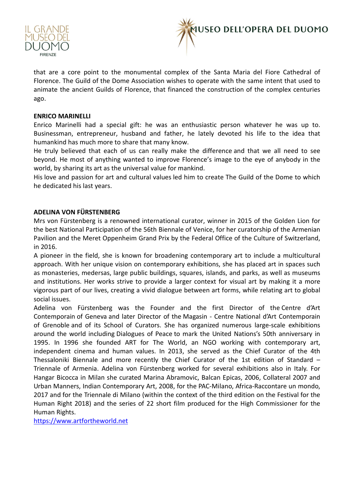



that are a core point to the monumental complex of the Santa Maria del Fiore Cathedral of Florence. The Guild of the Dome Association wishes to operate with the same intent that used to animate the ancient Guilds of Florence, that financed the construction of the complex centuries ago.

# **ENRICO MARINELLI**

Enrico Marinelli had a special gift: he was an enthusiastic person whatever he was up to. Businessman, entrepreneur, husband and father, he lately devoted his life to the idea that humankind has much more to share that many know.

He truly believed that each of us can really make the difference and that we all need to see beyond. He most of anything wanted to improve Florence's image to the eye of anybody in the world, by sharing its art as the universal value for mankind.

His love and passion for art and cultural values led him to create The Guild of the Dome to which he dedicated his last years.

# **ADELINA VON FÜRSTENBERG**

Mrs von Fürstenberg is a renowned international curator, winner in 2015 of the Golden Lion for the best National Participation of the 56th Biennale of Venice, for her curatorship of the Armenian Pavilion and the Meret Oppenheim Grand Prix by the Federal Office of the Culture of Switzerland, in 2016.

A pioneer in the field, she is known for broadening contemporary art to include a multicultural approach. With her unique vision on contemporary exhibitions, she has placed art in spaces such as monasteries, medersas, large public buildings, squares, islands, and parks, as well as museums and institutions. Her works strive to provide a larger context for visual art by making it a more vigorous part of our lives, creating a vivid dialogue between art forms, while relating art to global social issues.

Adelina von Fürstenberg was the Founder and the first Director of the Centre d'Art Contemporain of Geneva and later Director of the Magasin - Centre National d'Art Contemporain of Grenoble and of its School of Curators. She has organized numerous large-scale exhibitions around the world including Dialogues of Peace to mark the United Nations's 50th anniversary in 1995. In 1996 she founded ART for The World, an NGO working with contemporary art, independent cinema and human values. In 2013, she served as the Chief Curator of the 4th Thessaloniki Biennale and more recently the Chief Curator of the 1st edition of Standard – Triennale of Armenia. Adelina von Fürstenberg worked for several exhibitions also in Italy. For Hangar Bicocca in Milan she curated Marina Abramovic, Balcan Epicas, 2006, Collateral 2007 and Urban Manners, Indian Contemporary Art, 2008, for the PAC-Milano, Africa-Raccontare un mondo, 2017 and for the Triennale di Milano (within the context of the third edition on the Festival for the Human Right 2018) and the series of 22 short film produced for the High Commissioner for the Human Rights.

https://www.artfortheworld.net